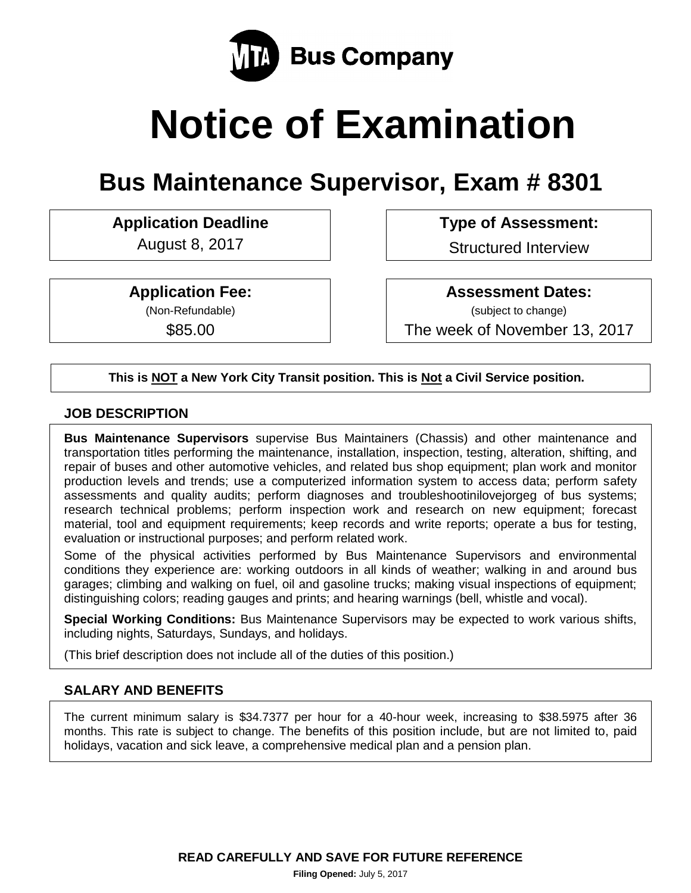

# **Notice of Examination**

# **Bus Maintenance Supervisor, Exam # 8301**

**Application Deadline Type of Assessment:** 

**Application Fee:**

(Non-Refundable) \$85.00

August 8, 2017 | Structured Interview

**Assessment Dates:**

(subject to change) The week of November 13, 2017

# **This is NOT a New York City Transit position. This is Not a Civil Service position.**

# **JOB DESCRIPTION**

**Bus Maintenance Supervisors** supervise Bus Maintainers (Chassis) and other maintenance and transportation titles performing the maintenance, installation, inspection, testing, alteration, shifting, and repair of buses and other automotive vehicles, and related bus shop equipment; plan work and monitor production levels and trends; use a computerized information system to access data; perform safety assessments and quality audits; perform diagnoses and troubleshootinilovejorgeg of bus systems; research technical problems; perform inspection work and research on new equipment; forecast material, tool and equipment requirements; keep records and write reports; operate a bus for testing, evaluation or instructional purposes; and perform related work.

Some of the physical activities performed by Bus Maintenance Supervisors and environmental conditions they experience are: working outdoors in all kinds of weather; walking in and around bus garages; climbing and walking on fuel, oil and gasoline trucks; making visual inspections of equipment; distinguishing colors; reading gauges and prints; and hearing warnings (bell, whistle and vocal).

**Special Working Conditions:** Bus Maintenance Supervisors may be expected to work various shifts, including nights, Saturdays, Sundays, and holidays.

(This brief description does not include all of the duties of this position.)

# **SALARY AND BENEFITS**

The current minimum salary is \$34.7377 per hour for a 40-hour week, increasing to \$38.5975 after 36 months. This rate is subject to change. The benefits of this position include, but are not limited to, paid holidays, vacation and sick leave, a comprehensive medical plan and a pension plan.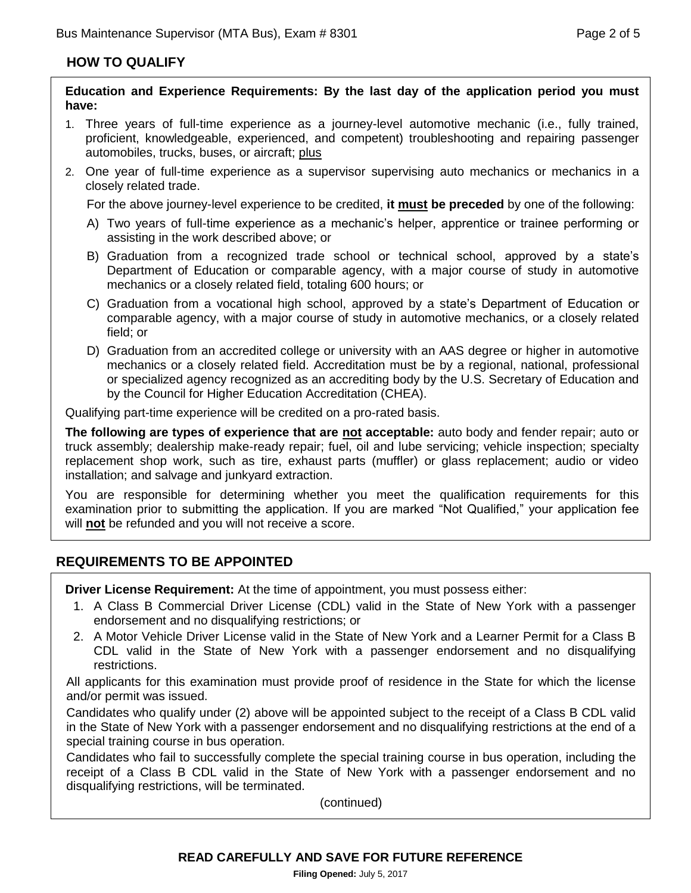#### **HOW TO QUALIFY**

**Education and Experience Requirements: By the last day of the application period you must have:**

- 1. Three years of full-time experience as a journey-level automotive mechanic (i.e., fully trained, proficient, knowledgeable, experienced, and competent) troubleshooting and repairing passenger automobiles, trucks, buses, or aircraft; plus
- 2. One year of full-time experience as a supervisor supervising auto mechanics or mechanics in a closely related trade.

For the above journey-level experience to be credited, **it must be preceded** by one of the following:

- A) Two years of full-time experience as a mechanic's helper, apprentice or trainee performing or assisting in the work described above; or
- B) Graduation from a recognized trade school or technical school, approved by a state's Department of Education or comparable agency, with a major course of study in automotive mechanics or a closely related field, totaling 600 hours; or
- C) Graduation from a vocational high school, approved by a state's Department of Education or comparable agency, with a major course of study in automotive mechanics, or a closely related field; or
- D) Graduation from an accredited college or university with an AAS degree or higher in automotive mechanics or a closely related field. Accreditation must be by a regional, national, professional or specialized agency recognized as an accrediting body by the U.S. Secretary of Education and by the Council for Higher Education Accreditation (CHEA).

Qualifying part-time experience will be credited on a pro-rated basis.

**The following are types of experience that are not acceptable:** auto body and fender repair; auto or truck assembly; dealership make-ready repair; fuel, oil and lube servicing; vehicle inspection; specialty replacement shop work, such as tire, exhaust parts (muffler) or glass replacement; audio or video installation; and salvage and junkyard extraction.

You are responsible for determining whether you meet the qualification requirements for this examination prior to submitting the application. If you are marked "Not Qualified," your application fee will **not** be refunded and you will not receive a score.

#### **REQUIREMENTS TO BE APPOINTED**

**Driver License Requirement:** At the time of appointment, you must possess either:

- 1. A Class B Commercial Driver License (CDL) valid in the State of New York with a passenger endorsement and no disqualifying restrictions; or
- 2. A Motor Vehicle Driver License valid in the State of New York and a Learner Permit for a Class B CDL valid in the State of New York with a passenger endorsement and no disqualifying restrictions.

All applicants for this examination must provide proof of residence in the State for which the license and/or permit was issued.

Candidates who qualify under (2) above will be appointed subject to the receipt of a Class B CDL valid in the State of New York with a passenger endorsement and no disqualifying restrictions at the end of a special training course in bus operation.

Candidates who fail to successfully complete the special training course in bus operation, including the receipt of a Class B CDL valid in the State of New York with a passenger endorsement and no disqualifying restrictions, will be terminated.

(continued)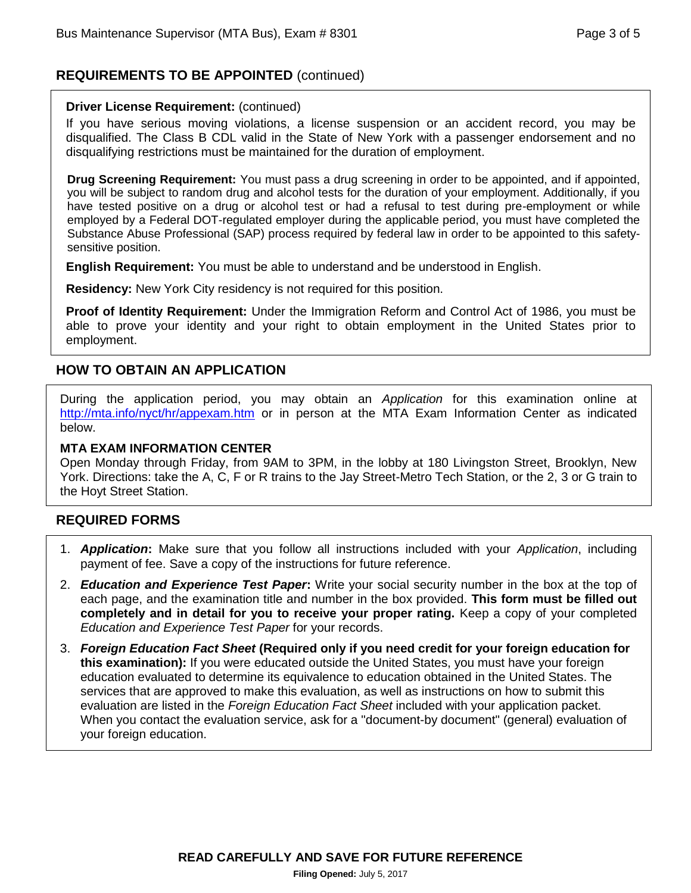# **REQUIREMENTS TO BE APPOINTED** (continued)

#### **Driver License Requirement:** (continued)

If you have serious moving violations, a license suspension or an accident record, you may be disqualified. The Class B CDL valid in the State of New York with a passenger endorsement and no disqualifying restrictions must be maintained for the duration of employment.

**Drug Screening Requirement:** You must pass a drug screening in order to be appointed, and if appointed, you will be subject to random drug and alcohol tests for the duration of your employment. Additionally, if you have tested positive on a drug or alcohol test or had a refusal to test during pre-employment or while employed by a Federal DOT-regulated employer during the applicable period, you must have completed the Substance Abuse Professional (SAP) process required by federal law in order to be appointed to this safetysensitive position.

**English Requirement:** You must be able to understand and be understood in English.

**Residency:** New York City residency is not required for this position.

**Proof of Identity Requirement:** Under the Immigration Reform and Control Act of 1986, you must be able to prove your identity and your right to obtain employment in the United States prior to employment.

# **HOW TO OBTAIN AN APPLICATION**

During the application period, you may obtain an *Application* for this examination online at <http://mta.info/nyct/hr/appexam.htm> or in person at the MTA Exam Information Center as indicated below.

#### **MTA EXAM INFORMATION CENTER**

Open Monday through Friday, from 9AM to 3PM, in the lobby at 180 Livingston Street, Brooklyn, New York. Directions: take the A, C, F or R trains to the Jay Street-Metro Tech Station, or the 2, 3 or G train to the Hoyt Street Station.

# **REQUIRED FORMS**

- 1. *Application***:** Make sure that you follow all instructions included with your *Application*, including payment of fee. Save a copy of the instructions for future reference.
- 2. *Education and Experience Test Paper***:** Write your social security number in the box at the top of each page, and the examination title and number in the box provided. **This form must be filled out completely and in detail for you to receive your proper rating.** Keep a copy of your completed *Education and Experience Test Paper* for your records.
- 3. *Foreign Education Fact Sheet* **(Required only if you need credit for your foreign education for this examination):** If you were educated outside the United States, you must have your foreign education evaluated to determine its equivalence to education obtained in the United States. The services that are approved to make this evaluation, as well as instructions on how to submit this evaluation are listed in the *Foreign Education Fact Sheet* included with your application packet. When you contact the evaluation service, ask for a "document-by document" (general) evaluation of your foreign education.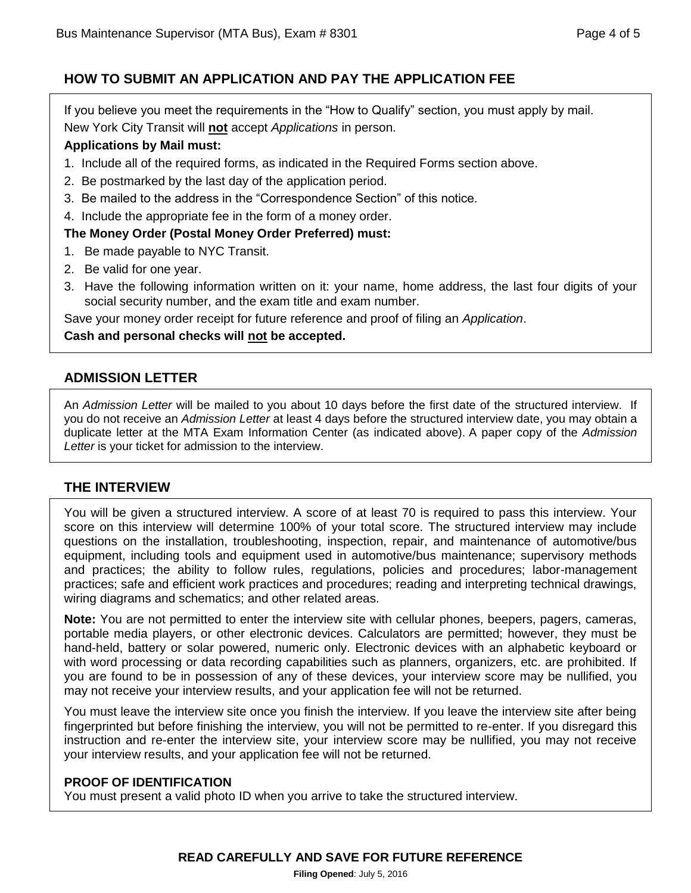# **HOW TO SUBMIT AN APPLICATION AND PAY THE APPLICATION FEE**

If you believe you meet the requirements in the "How to Qualify" section, you must apply by mail. New York City Transit will **not** accept *Applications* in person.

#### **Applications by Mail must:**

- 1. Include all of the required forms, as indicated in the Required Forms section above.
- 2. Be postmarked by the last day of the application period.
- 3. Be mailed to the address in the "Correspondence Section" of this notice.
- 4. Include the appropriate fee in the form of a money order.

# **The Money Order (Postal Money Order Preferred) must:**

- 1. Be made payable to NYC Transit.
- 2. Be valid for one year.
- 3. Have the following information written on it: your name, home address, the last four digits of your social security number, and the exam title and exam number.

Save your money order receipt for future reference and proof of filing an *Application*.

# **Cash and personal checks will not be accepted.**

# **ADMISSION LETTER**

An *Admission Letter* will be mailed to you about 10 days before the first date of the structured interview. If you do not receive an *Admission Letter* at least 4 days before the structured interview date, you may obtain a duplicate letter at the MTA Exam Information Center (as indicated above). A paper copy of the *Admission Letter* is your ticket for admission to the interview.

# **THE INTERVIEW**

You will be given a structured interview. A score of at least 70 is required to pass this interview. Your score on this interview will determine 100% of your total score. The structured interview may include questions on the installation, troubleshooting, inspection, repair, and maintenance of automotive/bus equipment, including tools and equipment used in automotive/bus maintenance; supervisory methods and practices; the ability to follow rules, regulations, policies and procedures; labor-management practices; safe and efficient work practices and procedures; reading and interpreting technical drawings, wiring diagrams and schematics; and other related areas.

**Note:** You are not permitted to enter the interview site with cellular phones, beepers, pagers, cameras, portable media players, or other electronic devices. Calculators are permitted; however, they must be hand-held, battery or solar powered, numeric only. Electronic devices with an alphabetic keyboard or with word processing or data recording capabilities such as planners, organizers, etc. are prohibited. If you are found to be in possession of any of these devices, your interview score may be nullified, you may not receive your interview results, and your application fee will not be returned.

You must leave the interview site once you finish the interview. If you leave the interview site after being fingerprinted but before finishing the interview, you will not be permitted to re-enter. If you disregard this instruction and re-enter the interview site, your interview score may be nullified, you may not receive your interview results, and your application fee will not be returned.

# **PROOF OF IDENTIFICATION**

You must present a valid photo ID when you arrive to take the structured interview.